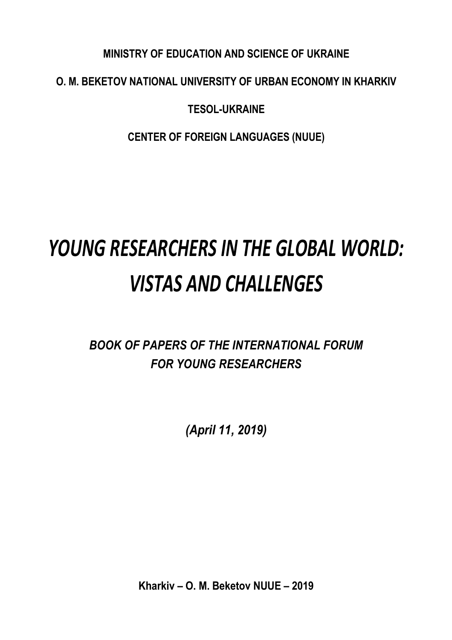## **MINISTRY OF EDUCATION AND SCIENCE OF UKRAINE**

## **O. M. BEKETOV NATIONAL UNIVERSITY OF URBAN ECONOMY IN KHARKIV**

## **TESOL-UKRAINE**

**CENTER OF FOREIGN LANGUAGES (NUUE)**

# *YOUNG RESEARCHERS IN THE GLOBAL WORLD: VISTAS AND CHALLENGES*

## *BOOK OF PAPERS OF THE INTERNATIONAL FORUM FOR YOUNG RESEARCHERS*

*(April 11, 2019)*

**Kharkiv – O. M. Beketov NUUE – 2019**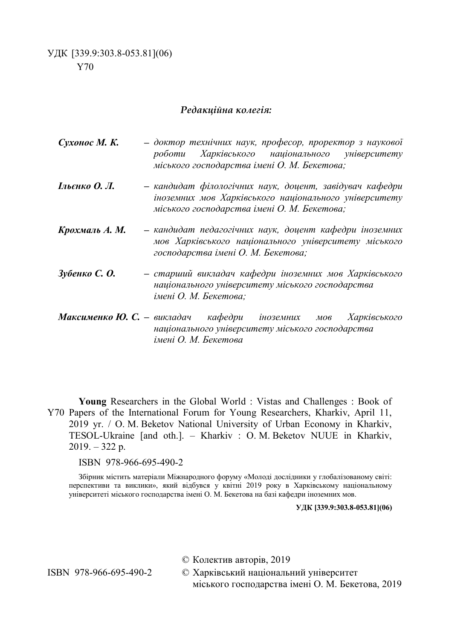#### *Редакційна колегія:*

- *Сухонос М. К. – доктор технічних наук, професор, проректор з наукової роботи Харківського національного університету міського господарства імені О. М. Бекетова;*
- *Ільєнко О. Л. – кандидат філологічних наук, доцент, завідувач кафедри іноземних мов Харківського національного університету міського господарства імені О. М. Бекетова;*
- *Крохмаль А. М. – кандидат педагогічних наук, доцент кафедри іноземних мов Харківського національного університету міського господарства імені О. М. Бекетова;*
- *Зубенко С. О. – старший викладач кафедри іноземних мов Харківського національного університету міського господарства імені О. М. Бекетова;*
- *Максименко Ю. С. – викладач кафедри іноземних мов Харківського національного університету міського господарства імені О. М. Бекетова*

Y70 Papers of the International Forum for Young Researchers, Kharkiv, April 11, **Young** Researchers in the Global World : Vistas and Challenges : Book of 2019 yr. / O. M. Beketov National University of Urban Econомy in Kharkiv, TESOL-Ukraine [and oth.]. – Kharkiv : O. M. Beketov NUUE in Kharkiv,  $2019. - 322$  p.

#### ISBN 978-966-695-490-2

Збірник містить матеріали Міжнародного форуму «Молоді дослідники у глобалізованому світі: перспективи та виклики», який відбувся у квітні 2019 року в Харківському національному університеті міського господарства імені О. М. Бекетова на базі кафедри іноземних мов.

**УДК [339.9:303.8-053.81](06)**

© Колектив авторів, 2019

ISBN 978-966-695-490-2 © Харківський національний університет міського господарства імені О. М. Бекетова, 2019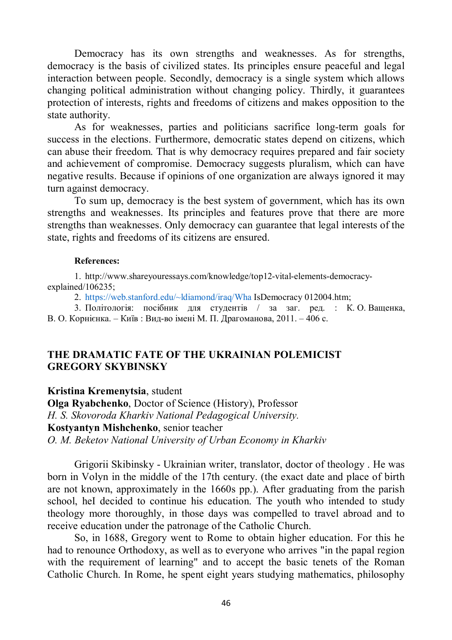Democracy has its own strengths and weaknesses. As for strengths, democracy is the basis of civilized states. Its principles ensure peaceful and legal interaction between people. Secondly, democracy is a single system which allows changing political administration without changing policy. Thirdly, it guarantees protection of interests, rights and freedoms of citizens and makes opposition to the state authority.

As for weaknesses, parties and politicians sacrifice long-term goals for success in the elections. Furthermore, democratic states depend on citizens, which can abuse their freedom. That is why democracy requires prepared and fair society and achievement of compromise. Democracy suggests pluralism, which can have negative results. Because if opinions of one organization are always ignored it may turn against democracy.

To sum up, democracy is the best system of government, which has its own strengths and weaknesses. Its principles and features prove that there are more strengths than weaknesses. Only democracy can guarantee that legal interests of the state, rights and freedoms of its citizens are ensured.

#### **References:**

1. http://www.shareyouressays.com/knowledge/top12-vital-elements-democracyexplained/106235;

2. https://web.stanford.edu/~ldiamond/iraq/Wha IsDemocracy 012004.htm;

3. Політологія: посібник для студентів / за заг. ред. : К. О. Ващенка, В. О. Корнієнка. – Київ : Вид-во імені М. П. Драгоманова, 2011. – 406 с.

### **THE DRAMATIC FATE OF THE UKRAINIAN POLEMICIST GREGORY SKYBINSKY**

**Kristina Kremenytsia**, student

**Olga Ryabchenko**, Doctor of Science (History), Professor *H. S. Skovoroda Kharkiv National Pedagogical University.* **Kostyantyn Mishchenko**, senior teacher *O. M. Beketov National University of Urban Economy in Kharkiv*

Grigorii Skibinsky - Ukrainian writer, translator, doctor of theology . He was born in Volyn in the middle of the 17th century. (the exact date and place of birth are not known, approximately in the 1660s pp.). After graduating from the parish school, heI decided to continue his education. The youth who intended to study theology more thoroughly, in those days was compelled to travel abroad and to receive education under the patronage of the Catholic Church.

So, in 1688, Gregory went to Rome to obtain higher education. For this he had to renounce Orthodoxy, as well as to everyone who arrives "in the papal region with the requirement of learning" and to accept the basic tenets of the Roman Catholic Church. In Rome, he spent eight years studying mathematics, philosophy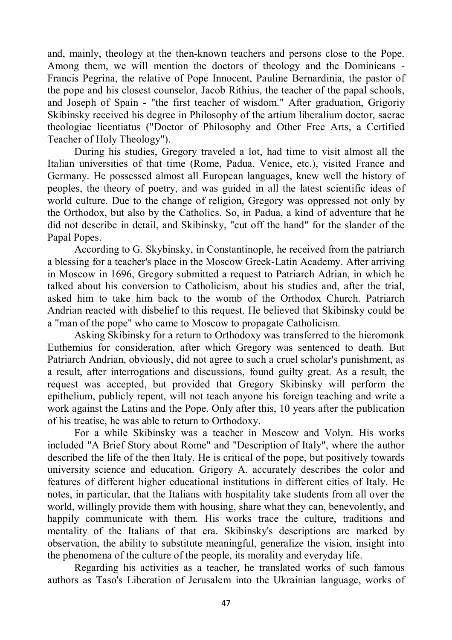and, mainly, theology at the then-known teachers and persons close to the Pope. Among them, we will mention the doctors of theology and the Dominicans - Francis Pegrina, the relative of Pope Innocent, Pauline Bernardinia, the pastor of the pope and his closest counselor, Jacob Rithius, the teacher of the papal schools, and Joseph of Spain - "the first teacher of wisdom." After graduation, Grigoriy Skibinsky received his degree in Philosophy of the artium liberalium doctor, sacrae theologiae licentiatus ("Doctor of Philosophy and Other Free Arts, a Certified Teacher of Holy Theology").

During his studies, Gregory traveled a lot, had time to visit almost all the Italian universities of that time (Rome, Padua, Venice, etc.), visited France and Germany. He possessed almost all European languages, knew well the history of peoples, the theory of poetry, and was guided in all the latest scientific ideas of world culture. Due to the change of religion, Gregory was oppressed not only by the Orthodox, but also by the Catholics. So, in Padua, a kind of adventure that he did not describe in detail, and Skibinsky, "cut off the hand" for the slander of the Papal Popes.

According to G. Skybinsky, in Constantinople, he received from the patriarch a blessing for a teacher's place in the Moscow Greek-Latin Academy. After arriving in Moscow in 1696, Gregory submitted a request to Patriarch Adrian, in which he talked about his conversion to Catholicism, about his studies and, after the trial, asked him to take him back to the womb of the Orthodox Church. Patriarch Andrian reacted with disbelief to this request. He believed that Skibinsky could be a "man of the pope" who came to Moscow to propagate Catholicism.

Asking Skibinsky for a return to Orthodoxy was transferred to the hieromonk Euthemius for consideration, after which Gregory was sentenced to death. But Patriarch Andrian, obviously, did not agree to such a cruel scholar's punishment, as a result, after interrogations and discussions, found guilty great. As a result, the request was accepted, but provided that Gregory Skibinsky will perform the epithelium, publicly repent, will not teach anyone his foreign teaching and write a work against the Latins and the Pope. Only after this, 10 years after the publication of his treatise, he was able to return to Orthodoxy.

For a while Skibinsky was a teacher in Moscow and Volyn. His works included "A Brief Story about Rome" and "Description of Italy", where the author described the life of the then Italy. He is critical of the pope, but positively towards university science and education. Grigory A. accurately describes the color and features of different higher educational institutions in different cities of Italy. He notes, in particular, that the Italians with hospitality take students from all over the world, willingly provide them with housing, share what they can, benevolently, and happily communicate with them. His works trace the culture, traditions and mentality of the Italians of that era. Skibinsky's descriptions are marked by observation, the ability to substitute meaningful, generalize the vision, insight into the phenomena of the culture of the people, its morality and everyday life.

Regarding his activities as a teacher, he translated works of such famous authors as Taso's Liberation of Jerusalem into the Ukrainian language, works of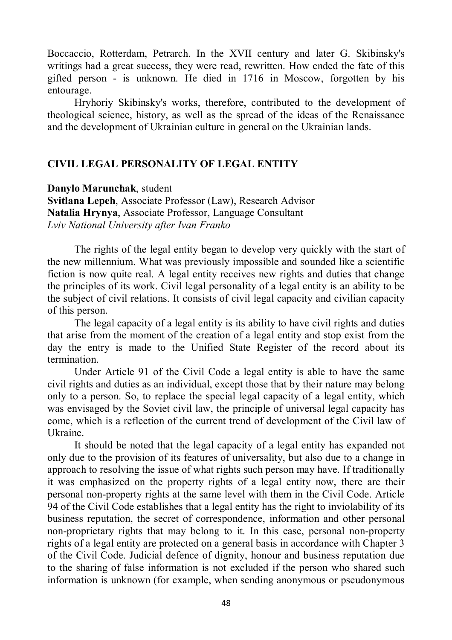Boccaccio, Rotterdam, Petrarch. In the XVII century and later G. Skibinsky's writings had a great success, they were read, rewritten. How ended the fate of this gifted person - is unknown. He died in 1716 in Moscow, forgotten by his entourage.

Hryhoriy Skibinsky's works, therefore, contributed to the development of theological science, history, as well as the spread of the ideas of the Renaissance and the development of Ukrainian culture in general on the Ukrainian lands.

#### **CIVIL LEGAL PERSONALITY OF LEGAL ENTITY**

**Danylo Marunchak**, student **Svitlana Lepeh**, Associate Professor (Law), Research Advisor **Natalia Hrynya**, Associate Professor, Language Consultant *Lviv National University after Ivan Franko*

The rights of the legal entity began to develop very quickly with the start of the new millennium. What was previously impossible and sounded like a scientific fiction is now quite real. A legal entity receives new rights and duties that change the principles of its work. Civil legal personality of a legal entity is an ability to be the subject of civil relations. It consists of civil legal capacity and civilian capacity of this person.

The legal capacity of a legal entity is its ability to have civil rights and duties that arise from the moment of the creation of a legal entity and stop exist from the day the entry is made to the Unified State Register of the record about its termination.

Under Article 91 of the Civil Code a legal entity is able to have the same civil rights and duties as an individual, except those that by their nature may belong only to a person. So, to replace the special legal capacity of a legal entity, which was envisaged by the Soviet civil law, the principle of universal legal capacity has come, which is a reflection of the current trend of development of the Civil law of Ukraine.

It should be noted that the legal capacity of a legal entity has expanded not only due to the provision of its features of universality, but also due to a change in approach to resolving the issue of what rights such person may have. If traditionally it was emphasized on the property rights of a legal entity now, there are their personal non-property rights at the same level with them in the Civil Code. Article 94 of the Civil Code establishes that a legal entity has the right to inviolability of its business reputation, the secret of correspondence, information and other personal non-proprietary rights that may belong to it. In this case, personal non-property rights of a legal entity are protected on a general basis in accordance with Chapter 3 of the Civil Code. Judicial defence of dignity, honour and business reputation due to the sharing of false information is not excluded if the person who shared such information is unknown (for example, when sending anonymous or pseudonymous